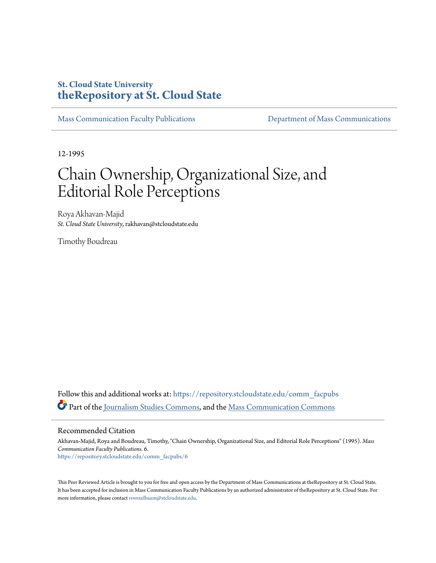## **St. Cloud State University [theRepository at St. Cloud State](https://repository.stcloudstate.edu?utm_source=repository.stcloudstate.edu%2Fcomm_facpubs%2F6&utm_medium=PDF&utm_campaign=PDFCoverPages)**

[Mass Communication Faculty Publications](https://repository.stcloudstate.edu/comm_facpubs?utm_source=repository.stcloudstate.edu%2Fcomm_facpubs%2F6&utm_medium=PDF&utm_campaign=PDFCoverPages) [Department of Mass Communications](https://repository.stcloudstate.edu/comm?utm_source=repository.stcloudstate.edu%2Fcomm_facpubs%2F6&utm_medium=PDF&utm_campaign=PDFCoverPages)

12-1995

## Chain Ownership, Organizational Size, and Editorial Role Perceptions

Roya Akhavan-Majid *St. Cloud State University*, rakhavan@stcloudstate.edu

Timothy Boudreau

Follow this and additional works at: [https://repository.stcloudstate.edu/comm\\_facpubs](https://repository.stcloudstate.edu/comm_facpubs?utm_source=repository.stcloudstate.edu%2Fcomm_facpubs%2F6&utm_medium=PDF&utm_campaign=PDFCoverPages) Part of the [Journalism Studies Commons](http://network.bepress.com/hgg/discipline/333?utm_source=repository.stcloudstate.edu%2Fcomm_facpubs%2F6&utm_medium=PDF&utm_campaign=PDFCoverPages), and the [Mass Communication Commons](http://network.bepress.com/hgg/discipline/334?utm_source=repository.stcloudstate.edu%2Fcomm_facpubs%2F6&utm_medium=PDF&utm_campaign=PDFCoverPages)

Recommended Citation

Akhavan-Majid, Roya and Boudreau, Timothy, "Chain Ownership, Organizational Size, and Editorial Role Perceptions" (1995). *Mass Communication Faculty Publications*. 6. [https://repository.stcloudstate.edu/comm\\_facpubs/6](https://repository.stcloudstate.edu/comm_facpubs/6?utm_source=repository.stcloudstate.edu%2Fcomm_facpubs%2F6&utm_medium=PDF&utm_campaign=PDFCoverPages)

This Peer Reviewed Article is brought to you for free and open access by the Department of Mass Communications at theRepository at St. Cloud State. It has been accepted for inclusion in Mass Communication Faculty Publications by an authorized administrator of theRepository at St. Cloud State. For more information, please contact [rswexelbaum@stcloudstate.edu](mailto:rswexelbaum@stcloudstate.edu).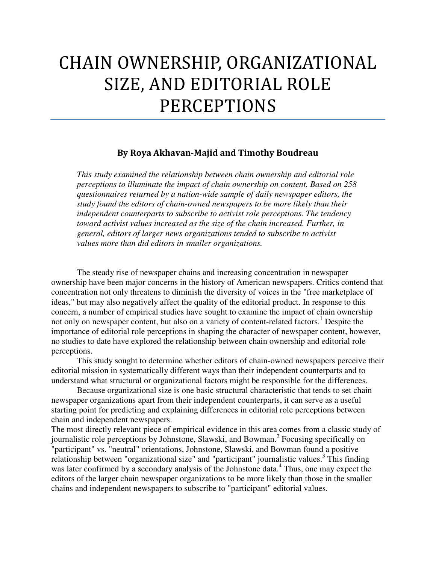# CHAIN OWNERSHIP, ORGANIZATIONAL SIZE, AND EDITORIAL ROLE PERCEPTIONS

## By Roya Akhavan-Majid and Timothy Boudreau

*This study examined the relationship between chain ownership and editorial role perceptions to illuminate the impact of chain ownership on content. Based on 258 questionnaires returned by a nation-wide sample of daily newspaper editors, the study found the editors of chain-owned newspapers to be more likely than their independent counterparts to subscribe to activist role perceptions. The tendency toward activist values increased as the size of the chain increased. Further, in general, editors of larger news organizations tended to subscribe to activist values more than did editors in smaller organizations.* 

The steady rise of newspaper chains and increasing concentration in newspaper ownership have been major concerns in the history of American newspapers. Critics contend that concentration not only threatens to diminish the diversity of voices in the "free marketplace of ideas," but may also negatively affect the quality of the editorial product. In response to this concern, a number of empirical studies have sought to examine the impact of chain ownership not only on newspaper content, but also on a variety of content-related factors.<sup>1</sup> Despite the importance of editorial role perceptions in shaping the character of newspaper content, however, no studies to date have explored the relationship between chain ownership and editorial role perceptions.

This study sought to determine whether editors of chain-owned newspapers perceive their editorial mission in systematically different ways than their independent counterparts and to understand what structural or organizational factors might be responsible for the differences.

Because organizational size is one basic structural characteristic that tends to set chain newspaper organizations apart from their independent counterparts, it can serve as a useful starting point for predicting and explaining differences in editorial role perceptions between chain and independent newspapers.

The most directly relevant piece of empirical evidence in this area comes from a classic study of journalistic role perceptions by Johnstone, Slawski, and Bowman.<sup>2</sup> Focusing specifically on "participant" vs. "neutral" orientations, Johnstone, Slawski, and Bowman found a positive relationship between "organizational size" and "participant" journalistic values.<sup>3</sup> This finding was later confirmed by a secondary analysis of the Johnstone data.<sup>4</sup> Thus, one may expect the editors of the larger chain newspaper organizations to be more likely than those in the smaller chains and independent newspapers to subscribe to "participant" editorial values.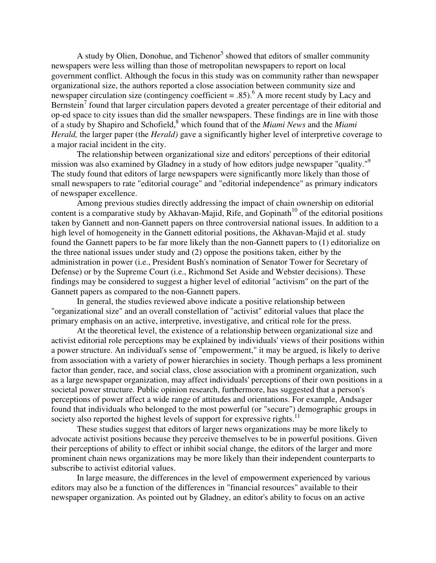A study by Olien, Donohue, and Tichenor<sup>5</sup> showed that editors of smaller community newspapers were less willing than those of metropolitan newspapers to report on local government conflict. Although the focus in this study was on community rather than newspaper organizational size, the authors reported a close association between community size and newspaper circulation size (contingency coefficient = .85).<sup>6</sup> A more recent study by Lacy and Bernstein<sup>7</sup> found that larger circulation papers devoted a greater percentage of their editorial and op-ed space to city issues than did the smaller newspapers. These findings are in line with those of a study by Shapiro and Schofield,<sup>8</sup> which found that of the *Miami News* and the *Miami Herald,* the larger paper (the *Herald)* gave a significantly higher level of interpretive coverage to a major racial incident in the city.

The relationship between organizational size and editors' perceptions of their editorial mission was also examined by Gladney in a study of how editors judge newspaper "quality."<sup>9</sup> The study found that editors of large newspapers were significantly more likely than those of small newspapers to rate "editorial courage" and "editorial independence" as primary indicators of newspaper excellence.

Among previous studies directly addressing the impact of chain ownership on editorial content is a comparative study by Akhavan-Majid, Rife, and Gopinath<sup>10</sup> of the editorial positions taken by Gannett and non-Gannett papers on three controversial national issues. In addition to a high level of homogeneity in the Gannett editorial positions, the Akhavan-Majid et al. study found the Gannett papers to be far more likely than the non-Gannett papers to (1) editorialize on the three national issues under study and (2) oppose the positions taken, either by the administration in power (i.e., President Bush's nomination of Senator Tower for Secretary of Defense) or by the Supreme Court (i.e., Richmond Set Aside and Webster decisions). These findings may be considered to suggest a higher level of editorial "activism" on the part of the Gannett papers as compared to the non-Gannett papers.

In general, the studies reviewed above indicate a positive relationship between "organizational size" and an overall constellation of "activist" editorial values that place the primary emphasis on an active, interpretive, investigative, and critical role for the press.

At the theoretical level, the existence of a relationship between organizational size and activist editorial role perceptions may be explained by individuals' views of their positions within a power structure. An individual's sense of "empowerment," it may be argued, is likely to derive from association with a variety of power hierarchies in society. Though perhaps a less prominent factor than gender, race, and social class, close association with a prominent organization, such as a large newspaper organization, may affect individuals' perceptions of their own positions in a societal power structure. Public opinion research, furthermore, has suggested that a person's perceptions of power affect a wide range of attitudes and orientations. For example, Andsager found that individuals who belonged to the most powerful (or "secure") demographic groups in society also reported the highest levels of support for expressive rights.<sup>11</sup>

These studies suggest that editors of larger news organizations may be more likely to advocate activist positions because they perceive themselves to be in powerful positions. Given their perceptions of ability to effect or inhibit social change, the editors of the larger and more prominent chain news organizations may be more likely than their independent counterparts to subscribe to activist editorial values.

In large measure, the differences in the level of empowerment experienced by various editors may also be a function of the differences in "financial resources" available to their newspaper organization. As pointed out by Gladney, an editor's ability to focus on an active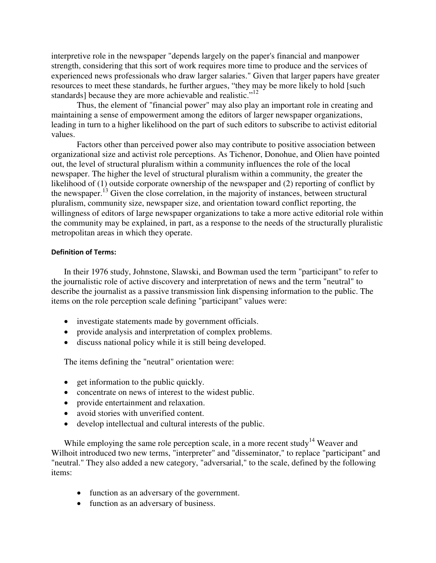interpretive role in the newspaper "depends largely on the paper's financial and manpower strength, considering that this sort of work requires more time to produce and the services of experienced news professionals who draw larger salaries." Given that larger papers have greater resources to meet these standards, he further argues, "they may be more likely to hold [such standards] because they are more achievable and realistic."<sup>12</sup>

Thus, the element of "financial power" may also play an important role in creating and maintaining a sense of empowerment among the editors of larger newspaper organizations, leading in turn to a higher likelihood on the part of such editors to subscribe to activist editorial values.

Factors other than perceived power also may contribute to positive association between organizational size and activist role perceptions. As Tichenor, Donohue, and Olien have pointed out, the level of structural pluralism within a community influences the role of the local newspaper. The higher the level of structural pluralism within a community, the greater the likelihood of (1) outside corporate ownership of the newspaper and (2) reporting of conflict by the newspaper.<sup>13</sup> Given the close correlation, in the majority of instances, between structural pluralism, community size, newspaper size, and orientation toward conflict reporting, the willingness of editors of large newspaper organizations to take a more active editorial role within the community may be explained, in part, as a response to the needs of the structurally pluralistic metropolitan areas in which they operate.

## Definition of Terms:

In their 1976 study, Johnstone, Slawski, and Bowman used the term "participant" to refer to the journalistic role of active discovery and interpretation of news and the term "neutral" to describe the journalist as a passive transmission link dispensing information to the public. The items on the role perception scale defining "participant" values were:

- investigate statements made by government officials.
- provide analysis and interpretation of complex problems.
- discuss national policy while it is still being developed.

The items defining the "neutral" orientation were:

- get information to the public quickly.
- concentrate on news of interest to the widest public.
- provide entertainment and relaxation.
- avoid stories with unverified content.
- develop intellectual and cultural interests of the public.

While employing the same role perception scale, in a more recent study<sup>14</sup> Weaver and Wilhoit introduced two new terms, "interpreter" and "disseminator," to replace "participant" and "neutral." They also added a new category, "adversarial," to the scale, defined by the following items:

- function as an adversary of the government.
- function as an adversary of business.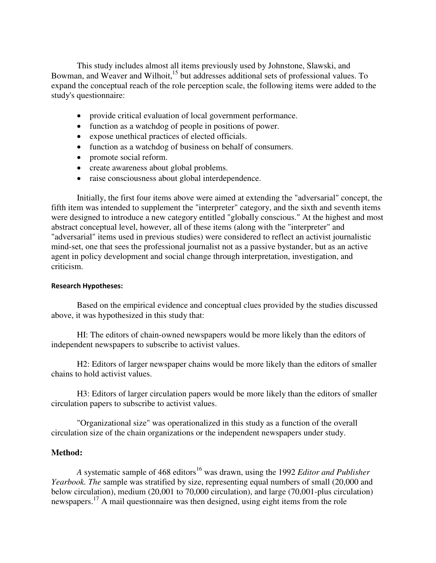This study includes almost all items previously used by Johnstone, Slawski, and Bowman, and Weaver and Wilhoit,<sup>15</sup> but addresses additional sets of professional values. To expand the conceptual reach of the role perception scale, the following items were added to the study's questionnaire:

- provide critical evaluation of local government performance.
- function as a watchdog of people in positions of power.
- expose unethical practices of elected officials.
- function as a watchdog of business on behalf of consumers.
- promote social reform.
- create awareness about global problems.
- raise consciousness about global interdependence.

Initially, the first four items above were aimed at extending the "adversarial" concept, the fifth item was intended to supplement the "interpreter" category, and the sixth and seventh items were designed to introduce a new category entitled "globally conscious." At the highest and most abstract conceptual level, however, all of these items (along with the "interpreter" and "adversarial" items used in previous studies) were considered to reflect an activist journalistic mind-set, one that sees the professional journalist not as a passive bystander, but as an active agent in policy development and social change through interpretation, investigation, and criticism.

## Research Hypotheses:

Based on the empirical evidence and conceptual clues provided by the studies discussed above, it was hypothesized in this study that:

HI: The editors of chain-owned newspapers would be more likely than the editors of independent newspapers to subscribe to activist values.

H2: Editors of larger newspaper chains would be more likely than the editors of smaller chains to hold activist values.

H3: Editors of larger circulation papers would be more likely than the editors of smaller circulation papers to subscribe to activist values.

"Organizational size" was operationalized in this study as a function of the overall circulation size of the chain organizations or the independent newspapers under study.

## **Method:**

*A* systematic sample of 468 editors<sup>16</sup> was drawn, using the 1992 *Editor and Publisher Yearbook. The* sample was stratified by size, representing equal numbers of small (20,000 and below circulation), medium (20,001 to 70,000 circulation), and large (70,001-plus circulation) newspapers.<sup>17</sup> A mail questionnaire was then designed, using eight items from the role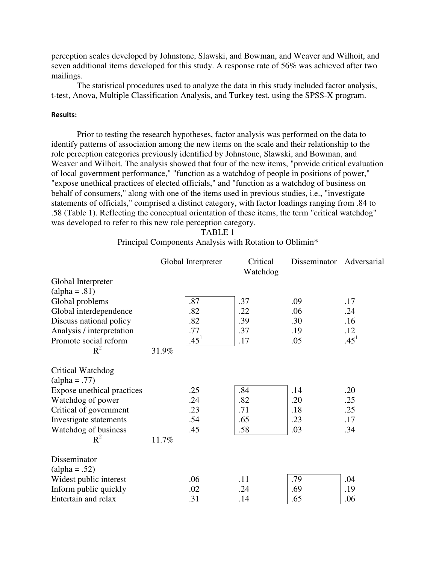perception scales developed by Johnstone, Slawski, and Bowman, and Weaver and Wilhoit, and seven additional items developed for this study. A response rate of 56% was achieved after two mailings.

The statistical procedures used to analyze the data in this study included factor analysis, t-test, Anova, Multiple Classification Analysis, and Turkey test, using the SPSS-X program.

## Results:

Prior to testing the research hypotheses, factor analysis was performed on the data to identify patterns of association among the new items on the scale and their relationship to the role perception categories previously identified by Johnstone, Slawski, and Bowman, and Weaver and Wilhoit. The analysis showed that four of the new items, "provide critical evaluation of local government performance," "function as a watchdog of people in positions of power," "expose unethical practices of elected officials," and "function as a watchdog of business on behalf of consumers," along with one of the items used in previous studies, i.e., "investigate statements of officials," comprised a distinct category, with factor loadings ranging from .84 to .58 (Table 1). Reflecting the conceptual orientation of these items, the term "critical watchdog" was developed to refer to this new role perception category.

TABLE 1

Principal Components Analysis with Rotation to Oblimin\*

|                            | Global Interpreter |           | Critical<br>Watchdog | Disseminator | Adversarial |
|----------------------------|--------------------|-----------|----------------------|--------------|-------------|
| Global Interpreter         |                    |           |                      |              |             |
| $(alpha = .81)$            |                    |           |                      |              |             |
| Global problems            |                    | .87       | .37                  | .09          | .17         |
| Global interdependence     |                    | .82       | .22                  | .06          | .24         |
| Discuss national policy    |                    | .82       | .39                  | .30          | .16         |
| Analysis / interpretation  |                    | .77       | .37                  | .19          | .12         |
| Promote social reform      |                    | $.45^{1}$ | .17                  | .05          | $.45^{1}$   |
| $R^2$                      | 31.9%              |           |                      |              |             |
| Critical Watchdog          |                    |           |                      |              |             |
| $(alpha = .77)$            |                    |           |                      |              |             |
| Expose unethical practices |                    | .25       | .84                  | .14          | .20         |
| Watchdog of power          |                    | .24       | .82                  | .20          | .25         |
| Critical of government     |                    | .23       | .71                  | .18          | .25         |
| Investigate statements     |                    | .54       | .65                  | .23          | .17         |
| Watchdog of business       |                    | .45       | .58                  | .03          | .34         |
| $R^2$                      | 11.7%              |           |                      |              |             |
| Disseminator               |                    |           |                      |              |             |
| $(alpha = .52)$            |                    |           |                      |              |             |
| Widest public interest     |                    | .06       | .11                  | .79          | .04         |
| Inform public quickly      |                    | .02       | .24                  | .69          | .19         |
| Entertain and relax        |                    | .31       | .14                  | .65          | .06         |
|                            |                    |           |                      |              |             |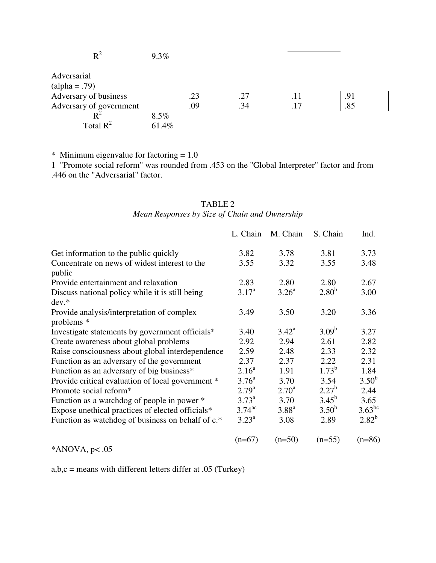| $\rm R^2$               | 9.3%  |     |     |     |     |  |
|-------------------------|-------|-----|-----|-----|-----|--|
| Adversarial             |       |     |     |     |     |  |
| $(alpha = .79)$         |       |     |     |     |     |  |
| Adversary of business   |       | .23 | .27 | .11 | .91 |  |
| Adversary of government |       | .09 | .34 | .17 | .85 |  |
|                         | 8.5%  |     |     |     |     |  |
| Total $R^2$             | 61.4% |     |     |     |     |  |

\* Minimum eigenvalue for factoring  $= 1.0$ 

1 "Promote social reform" was rounded from .453 on the "Global Interpreter" factor and from .446 on the "Adversarial" factor.

## TABLE 2 *Mean Responses by Size of Chain and Ownership*

|                                                            | L. Chain             | M. Chain          | S. Chain          | Ind.        |
|------------------------------------------------------------|----------------------|-------------------|-------------------|-------------|
| Get information to the public quickly                      | 3.82                 | 3.78              | 3.81              | 3.73        |
| Concentrate on news of widest interest to the<br>public    | 3.55                 | 3.32              | 3.55              | 3.48        |
| Provide entertainment and relaxation                       | 2.83                 | 2.80              | 2.80              | 2.67        |
| Discuss national policy while it is still being<br>$dev.*$ | 3.17 <sup>a</sup>    | 3.26 <sup>a</sup> | 2.80 <sup>b</sup> | 3.00        |
| Provide analysis/interpretation of complex<br>problems *   | 3.49                 | 3.50              | 3.20              | 3.36        |
| Investigate statements by government officials*            | 3.40                 | $3.42^{\rm a}$    | $3.09^{b}$        | 3.27        |
| Create awareness about global problems                     | 2.92                 | 2.94              | 2.61              | 2.82        |
| Raise consciousness about global interdependence           | 2.59                 | 2.48              | 2.33              | 2.32        |
| Function as an adversary of the government                 | 2.37                 | 2.37              | 2.22              | 2.31        |
| Function as an adversary of big business*                  | 2.16 <sup>a</sup>    | 1.91              | $1.73^{b}$        | 1.84        |
| Provide critical evaluation of local government *          | $3.76^{\rm a}$       | 3.70              | 3.54              | $3.50^{b}$  |
| Promote social reform*                                     | $2.79^{a}$           | $2.70^{\rm a}$    | $2.27^{b}$        | 2.44        |
| Function as a watchdog of people in power *                | $3.73^{\rm a}$       | 3.70              | $3.45^{b}$        | 3.65        |
| Expose unethical practices of elected officials*           | $3.74$ <sup>ac</sup> | $3.88^{a}$        | $3.50^{b}$        | $3.63^{bc}$ |
| Function as watchdog of business on behalf of c.*          | $3.23^{\rm a}$       | 3.08              | 2.89              | $2.82^{b}$  |
|                                                            | $(n=67)$             | $(n=50)$          | $(n=55)$          | $(n=86)$    |

 $*ANOVA, p<.05$ 

 $a,b,c$  = means with different letters differ at .05 (Turkey)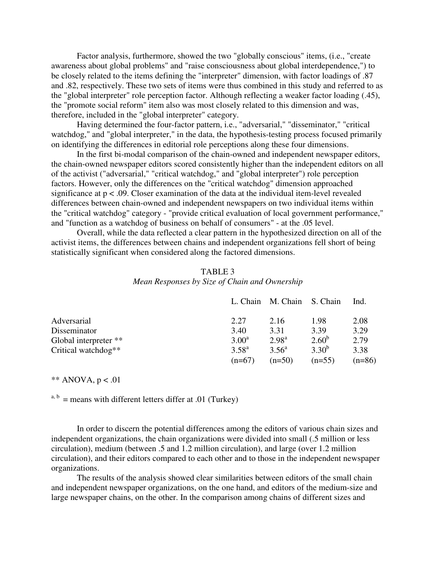Factor analysis, furthermore, showed the two "globally conscious" items, (i.e., "create awareness about global problems" and "raise consciousness about global interdependence,") to be closely related to the items defining the "interpreter" dimension, with factor loadings of .87 and .82, respectively. These two sets of items were thus combined in this study and referred to as the "global interpreter" role perception factor. Although reflecting a weaker factor loading (.45), the "promote social reform" item also was most closely related to this dimension and was, therefore, included in the "global interpreter" category.

Having determined the four-factor pattern, i.e., "adversarial," "disseminator," "critical watchdog," and "global interpreter," in the data, the hypothesis-testing process focused primarily on identifying the differences in editorial role perceptions along these four dimensions.

In the first bi-modal comparison of the chain-owned and independent newspaper editors, the chain-owned newspaper editors scored consistently higher than the independent editors on all of the activist ("adversarial," "critical watchdog," and "global interpreter") role perception factors. However, only the differences on the "critical watchdog" dimension approached significance at  $p < .09$ . Closer examination of the data at the individual item-level revealed differences between chain-owned and independent newspapers on two individual items within the "critical watchdog" category - "provide critical evaluation of local government performance," and "function as a watchdog of business on behalf of consumers" - at the .05 level.

Overall, while the data reflected a clear pattern in the hypothesized direction on all of the activist items, the differences between chains and independent organizations fell short of being statistically significant when considered along the factored dimensions.

## TABLE 3

## *Mean Responses by Size of Chain and Ownership*

|                       |                | L. Chain M. Chain S. Chain |            | Ind.     |
|-----------------------|----------------|----------------------------|------------|----------|
| Adversarial           | 2.27           | 2.16                       | 1.98       | 2.08     |
| Disseminator          | 3.40           | 3.31                       | 3.39       | 3.29     |
| Global interpreter ** | $3.00^{\rm a}$ | $2.98^{a}$                 | $2.60^{b}$ | 2.79     |
| Critical watchdog**   | $3.58^{a}$     | $3.56^{\circ}$             | $3.30^{b}$ | 3.38     |
|                       | $(n=67)$       | $(n=50)$                   | $(n=55)$   | $(n=86)$ |

#### \*\* ANOVA,  $p < .01$

 $a, b$  = means with different letters differ at .01 (Turkey)

In order to discern the potential differences among the editors of various chain sizes and independent organizations, the chain organizations were divided into small (.5 million or less circulation), medium (between .5 and 1.2 million circulation), and large (over 1.2 million circulation), and their editors compared to each other and to those in the independent newspaper organizations.

The results of the analysis showed clear similarities between editors of the small chain and independent newspaper organizations, on the one hand, and editors of the medium-size and large newspaper chains, on the other. In the comparison among chains of different sizes and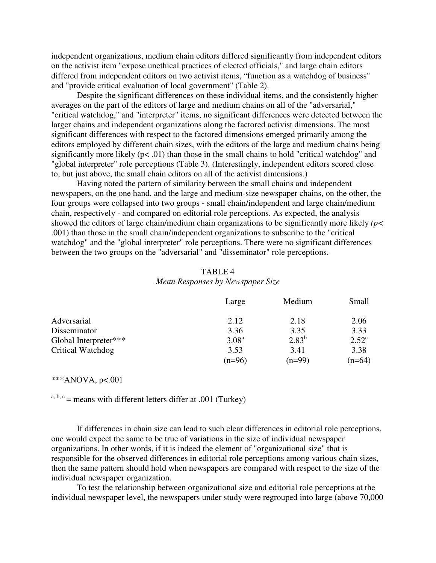independent organizations, medium chain editors differed significantly from independent editors on the activist item "expose unethical practices of elected officials," and large chain editors differed from independent editors on two activist items, "function as a watchdog of business" and "provide critical evaluation of local government" (Table 2).

Despite the significant differences on these individual items, and the consistently higher averages on the part of the editors of large and medium chains on all of the "adversarial," "critical watchdog," and "interpreter" items, no significant differences were detected between the larger chains and independent organizations along the factored activist dimensions. The most significant differences with respect to the factored dimensions emerged primarily among the editors employed by different chain sizes, with the editors of the large and medium chains being significantly more likely  $(p<.01)$  than those in the small chains to hold "critical watchdog" and "global interpreter" role perceptions (Table 3). (Interestingly, independent editors scored close to, but just above, the small chain editors on all of the activist dimensions.)

Having noted the pattern of similarity between the small chains and independent newspapers, on the one hand, and the large and medium-size newspaper chains, on the other, the four groups were collapsed into two groups - small chain/independent and large chain/medium chain, respectively - and compared on editorial role perceptions. As expected, the analysis showed the editors of large chain/medium chain organizations to be significantly more likely *(p<*  .001) than those in the small chain/independent organizations to subscribe to the "critical watchdog" and the "global interpreter" role perceptions. There were no significant differences between the two groups on the "adversarial" and "disseminator" role perceptions.

## TABLE 4

*Mean Responses by Newspaper Size* 

|                       | Large             | Medium     | Small          |
|-----------------------|-------------------|------------|----------------|
| Adversarial           | 2.12              | 2.18       | 2.06           |
| Disseminator          | 3.36              | 3.35       | 3.33           |
| Global Interpreter*** | 3.08 <sup>a</sup> | $2.83^{b}$ | $2.52^{\circ}$ |
| Critical Watchdog     | 3.53              | 3.41       | 3.38           |
|                       | $(n=96)$          | $(n=99)$   | $(n=64)$       |

#### \*\*\* $ANOVA$ , p<.001

 $a, b, c$  = means with different letters differ at .001 (Turkey)

If differences in chain size can lead to such clear differences in editorial role perceptions, one would expect the same to be true of variations in the size of individual newspaper organizations. In other words, if it is indeed the element of "organizational size" that is responsible for the observed differences in editorial role perceptions among various chain sizes, then the same pattern should hold when newspapers are compared with respect to the size of the individual newspaper organization.

To test the relationship between organizational size and editorial role perceptions at the individual newspaper level, the newspapers under study were regrouped into large (above 70,000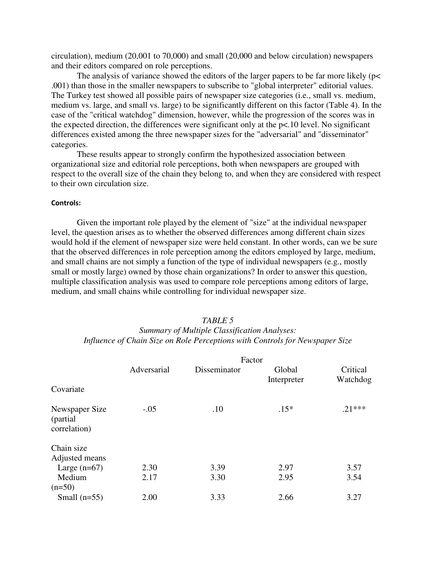circulation), medium (20,001 to 70,000) and small (20,000 and below circulation) newspapers and their editors compared on role perceptions.

The analysis of variance showed the editors of the larger papers to be far more likely ( $p<$ .001) than those in the smaller newspapers to subscribe to "global interpreter" editorial values. The Turkey test showed all possible pairs of newspaper size categories (i.e., small vs. medium, medium vs. large, and small vs. large) to be significantly different on this factor (Table 4). In the case of the "critical watchdog" dimension, however, while the progression of the scores was in the expected direction, the differences were significant only at the p<.10 level. No significant differences existed among the three newspaper sizes for the "adversarial" and "disseminator" categories.

These results appear to strongly confirm the hypothesized association between organizational size and editorial role perceptions, both when newspapers are grouped with respect to the overall size of the chain they belong to, and when they are considered with respect to their own circulation size.

### Controls:

Given the important role played by the element of "size" at the individual newspaper level, the question arises as to whether the observed differences among different chain sizes would hold if the element of newspaper size were held constant. In other words, can we be sure that the observed differences in role perception among the editors employed by large, medium, and small chains are not simply a function of the type of individual newspapers (e.g., mostly small or mostly large) owned by those chain organizations? In order to answer this question, multiple classification analysis was used to compare role perceptions among editors of large, medium, and small chains while controlling for individual newspaper size.

## *Summary of Multiple Classification Analyses: Influence of Chain Size on Role Perceptions with Controls for Newspaper Size*

|                                             | Factor      |              |                       |                      |  |  |
|---------------------------------------------|-------------|--------------|-----------------------|----------------------|--|--|
|                                             | Adversarial | Disseminator | Global<br>Interpreter | Critical<br>Watchdog |  |  |
| Covariate                                   |             |              |                       |                      |  |  |
| Newspaper Size<br>(partial)<br>correlation) | $-.05$      | .10          | $.15*$                | $.21***$             |  |  |
| Chain size<br>Adjusted means                |             |              |                       |                      |  |  |
| Large $(n=67)$                              | 2.30        | 3.39         | 2.97                  | 3.57                 |  |  |
| Medium                                      | 2.17        | 3.30         | 2.95                  | 3.54                 |  |  |
| $(n=50)$                                    |             |              |                       |                      |  |  |
| Small $(n=55)$                              | 2.00        | 3.33         | 2.66                  | 3.27                 |  |  |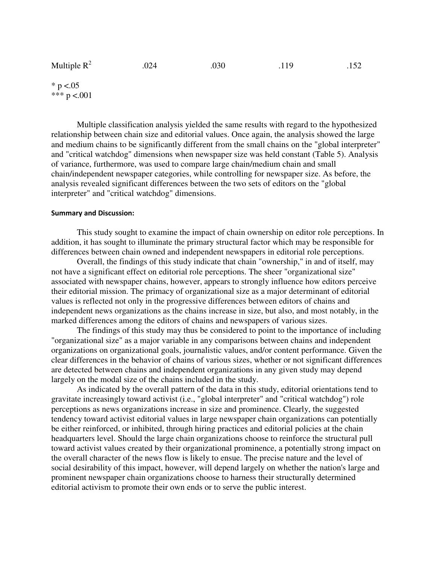| Multiple $R^2$<br>.030<br>.024<br>.119 |  |  |  |  | .152 |
|----------------------------------------|--|--|--|--|------|
|----------------------------------------|--|--|--|--|------|

 $*$  p <.05 \*\*\*  $p < 001$ 

Multiple classification analysis yielded the same results with regard to the hypothesized relationship between chain size and editorial values. Once again, the analysis showed the large and medium chains to be significantly different from the small chains on the "global interpreter" and "critical watchdog" dimensions when newspaper size was held constant (Table 5). Analysis of variance, furthermore, was used to compare large chain/medium chain and small chain/independent newspaper categories, while controlling for newspaper size. As before, the analysis revealed significant differences between the two sets of editors on the "global interpreter" and "critical watchdog" dimensions.

#### Summary and Discussion:

This study sought to examine the impact of chain ownership on editor role perceptions. In addition, it has sought to illuminate the primary structural factor which may be responsible for differences between chain owned and independent newspapers in editorial role perceptions.

Overall, the findings of this study indicate that chain "ownership," in and of itself, may not have a significant effect on editorial role perceptions. The sheer "organizational size" associated with newspaper chains, however, appears to strongly influence how editors perceive their editorial mission. The primacy of organizational size as a major determinant of editorial values is reflected not only in the progressive differences between editors of chains and independent news organizations as the chains increase in size, but also, and most notably, in the marked differences among the editors of chains and newspapers of various sizes.

The findings of this study may thus be considered to point to the importance of including "organizational size" as a major variable in any comparisons between chains and independent organizations on organizational goals, journalistic values, and/or content performance. Given the clear differences in the behavior of chains of various sizes, whether or not significant differences are detected between chains and independent organizations in any given study may depend largely on the modal size of the chains included in the study.

As indicated by the overall pattern of the data in this study, editorial orientations tend to gravitate increasingly toward activist (i.e., "global interpreter" and "critical watchdog") role perceptions as news organizations increase in size and prominence. Clearly, the suggested tendency toward activist editorial values in large newspaper chain organizations can potentially be either reinforced, or inhibited, through hiring practices and editorial policies at the chain headquarters level. Should the large chain organizations choose to reinforce the structural pull toward activist values created by their organizational prominence, a potentially strong impact on the overall character of the news flow is likely to ensue. The precise nature and the level of social desirability of this impact, however, will depend largely on whether the nation's large and prominent newspaper chain organizations choose to harness their structurally determined editorial activism to promote their own ends or to serve the public interest.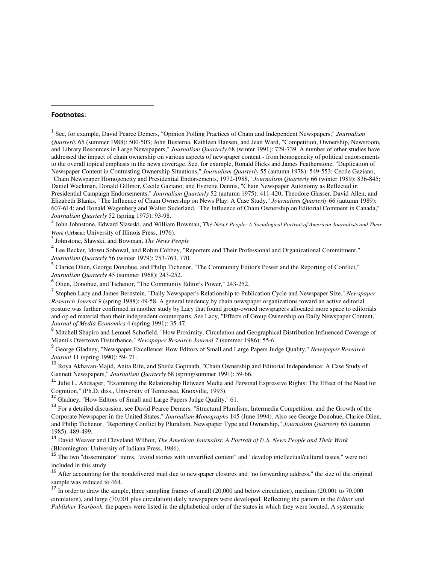#### Footnotes:

l

1 See, for example, David Pearce Demers, "Opinion Polling Practices of Chain and Independent Newspapers," *Journalism Quarterly* 65 (summer 1988): 500-503; John Busterna, Kathleen Hansen, and Jean Ward, "Competition, Ownership, Newsroom, and Library Resources in Large Newspapers," *Journalism Quarterly* 68 (winter 1991): 729-739. A number of other studies have addressed the impact of chain ownership on various aspects of newspaper content - from homogeneity of political endorsements to the overall topical emphasis in the news coverage. See, for example, Ronald Hicks and James Featherstone, "Duplication of Newspaper Content in Contrasting Ownership Situations," *Journalism Quarterly* 55 (autumn 1978): 549-553; Cecile Gaziano, "Chain Newspaper Homogeneity and Presidential Endorsements, 1972-1988," *Journalism Quarterly* 66 (winter 1989): 836-845; Daniel Wackman, Donald Gillmor, Cecile Gaziano, and Everette Dennis, "Chain Newspaper Autonomy as Reflected in Presidential Campaign Endorsements," *Journalism Quarterly* 52 (autumn 1975): 411-420; Theodore Glasser, David Allen, and Elizabeth Blanks, "The Influence of Chain Ownership on News Play: A Case Study," *Journalism Quarterly* 66 (autumn 1989): 607-614; and Ronald Wagenberg and Walter Suderland, "The Influence of Chain Ownership on Editorial Comment in Canada," *Journalism Quarterly* 52 (spring 1975): 93-98.

2 John Johnstone, Edward Slawski, and William Bowman, *The News People: A Sociological Portrait of American Journalists and Their Work* (Urbana: University of Illinois Press, 1976).

3 Johnstone, Slawski, and Bowman, *The News People* 

<sup>4</sup> Lee Becker, Idowu Sobowal, and Robin Cobbey, "Reporters and Their Professional and Organizational Commitment," *Journalism Quarterly* 56 (winter 1979): 753-763, 770.

<sup>5</sup> Clarice Olien, George Donohue, and Philip Tichenor, "The Community Editor's Power and the Reporting of Conflict," *Journalism Quarterly* 45 (summer 1968): 243-252.

6 Olien, Donohue, and Tichenor, "The Community Editor's Power," 243-252.

7 Stephen Lacy and James Bernstein, "Daily Newspaper's Relationship to Publication Cycle and Newspaper Size," *Newspaper Research Journal 9* (spring 1988): 49-58. A general tendency by chain newspaper organizations toward an active editorial posture was further confirmed in another study by Lacy that found group-owned newspapers allocated more space to editorials and op ed material than their independent counterparts. See Lacy, "Effects of Group Ownership on Daily Newspaper Content," *Journal of Media Economics* 4 (spring 1991): 35-47.

<sup>8</sup> Mitchell Shapiro and Lemuel Schofield, "How Proximity, Circulation and Geographical Distribution Influenced Coverage of Miami's Overtown Disturbance," *Newspaper Research Journal 7* (summer 1986): 55-6

9 George Gladney, "Newspaper Excellence: How Editors of Small and Large Papers Judge Quality," *Newspaper Research Journal* 11 (spring 1990): 59- 71.

<sup>10</sup> Roya Akhavan-Majid, Anita Rife, and Sheila Gopinath, "Chain Ownership and Editorial Independence: A Case Study of Gannett Newspapers," *Journalism Quarterly* 68 (spring/summer 1991): 59-66.

<sup>11</sup> Julie L. Andsager, "Examining the Relationship Between Media and Personal Expressive Rights: The Effect of the Need for Cognition," (Ph.D. diss., University of Tennessee, Knoxville, 1993).

<sup>12</sup> Gladney, "How Editors of Small and Large Papers Judge Quality," 61.

<sup>13</sup> For a detailed discussion, see David Pearce Demers, "Structural Pluralism, Intermedia Competition, and the Growth of the Corporate Newspaper in the United States," *Journalism Monographs* 145 (June 1994). Also see George Donohue, Clarice Olien, and Philip Tichenor, "Reporting Conflict by Pluralism, Newspaper Type and Ownership," *Journalism Quarterly* 65 (autumn 1985): 489-499.

<sup>14</sup> David Weaver and Cleveland Wilhoit, *The American Journalist: A Portrait of U.S. News People and Their Work*  (Bloomington: University of Indiana Press, 1986).

<sup>15</sup> The two "disseminator" items, "avoid stories with unverified content" and "develop intellectual/cultural tastes," were not included in this study.

<sup>16</sup> After accounting for the nondelivered mail due to newspaper closures and "no forwarding address," the size of the original sample was reduced to 464.

<sup>17</sup> In order to draw the sample, three sampling frames of small  $(20,000$  and below circulation), medium  $(20,001$  to 70,000 circulation), and large (70,001 plus circulation) daily newspapers were developed. Reflecting the pattern in the *Editor and Publisher Yearbook,* the papers were listed in the alphabetical order of the states in which they were located. A systematic